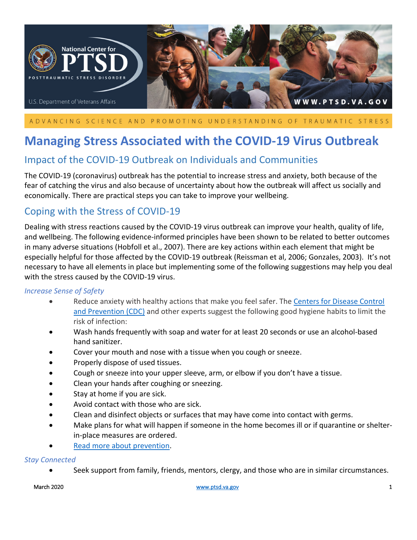

## ADVANCING SCIENCE AND PROMOTING UNDERSTANDING OF TRAUMATIC STRESS

# **Managing Stress Associated with the COVID-19 Virus Outbreak**

# Impact of the COVID-19 Outbreak on Individuals and Communities

The COVID-19 (coronavirus) outbreak has the potential to increase stress and anxiety, both because of the fear of catching the virus and also because of uncertainty about how the outbreak will affect us socially and economically. There are practical steps you can take to improve your wellbeing.

# Coping with the Stress of COVID-19

Dealing with stress reactions caused by the COVID-19 virus outbreak can improve your health, quality of life, and wellbeing. The following evidence-informed principles have been shown to be related to better outcomes in many adverse situations (Hobfoll et al., 2007). There are key actions within each element that might be especially helpful for those affected by the COVID-19 outbreak (Reissman et al, 2006; Gonzales, 2003). It's not necessary to have all elements in place but implementing some of the following suggestions may help you deal with the stress caused by the COVID-19 virus.

#### *Increase Sense of Safety*

- Reduce anxiety with healthy actions that make you feel safer. The [Centers for Disease Control](https://www.cdc.gov/)  [and Prevention \(CDC\)](https://www.cdc.gov/) and other experts suggest the following good hygiene habits to limit the risk of infection:
- Wash hands frequently with soap and water for at least 20 seconds or use an alcohol-based hand sanitizer.
- Cover your mouth and nose with a tissue when you cough or sneeze.
- Properly dispose of used tissues.
- Cough or sneeze into your upper sleeve, arm, or elbow if you don't have a tissue.
- Clean your hands after coughing or sneezing.
- Stay at home if you are sick.
- Avoid contact with those who are sick.
- Clean and disinfect objects or surfaces that may have come into contact with germs.
- Make plans for what will happen if someone in the home becomes ill or if quarantine or shelterin-place measures are ordered.
- [Read more about prevention.](https://www.cdc.gov/coronavirus/2019-ncov/about/prevention-treatment.html)

#### *Stay Connected*

• Seek support from family, friends, mentors, clergy, and those who are in similar circumstances.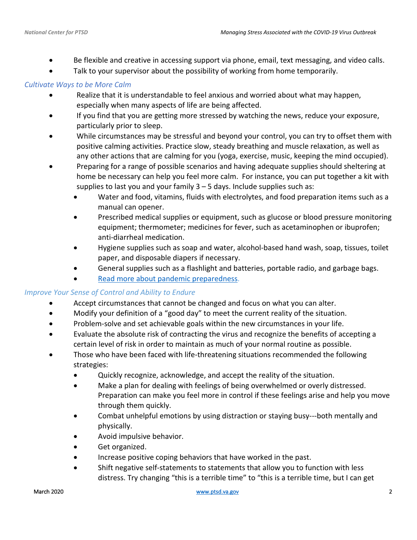- Be flexible and creative in accessing support via phone, email, text messaging, and video calls.
- Talk to your supervisor about the possibility of working from home temporarily.

## *Cultivate Ways to be More Calm*

- Realize that it is understandable to feel anxious and worried about what may happen, especially when many aspects of life are being affected.
- If you find that you are getting more stressed by watching the news, reduce your exposure, particularly prior to sleep.
- While circumstances may be stressful and beyond your control, you can try to offset them with positive calming activities. Practice slow, steady breathing and muscle relaxation, as well as any other actions that are calming for you (yoga, exercise, music, keeping the mind occupied).
- Preparing for a range of possible scenarios and having adequate supplies should sheltering at home be necessary can help you feel more calm. For instance, you can put together a kit with supplies to last you and your family  $3 - 5$  days. Include supplies such as:
	- Water and food, vitamins, fluids with electrolytes, and food preparation items such as a manual can opener.
	- Prescribed medical supplies or equipment, such as glucose or blood pressure monitoring equipment; thermometer; medicines for fever, such as acetaminophen or ibuprofen; anti-diarrheal medication.
	- Hygiene supplies such as soap and water, alcohol-based hand wash, soap, tissues, toilet paper, and disposable diapers if necessary.
	- General supplies such as a flashlight and batteries, portable radio, and garbage bags.
	- [Read more about pandemic preparedness.](https://www.cdc.gov/cpr/prepareyourhealth/index.html)

# *Improve Your Sense of Control and Ability to Endure*

- Accept circumstances that cannot be changed and focus on what you can alter.
- Modify your definition of a "good day" to meet the current reality of the situation.
- Problem-solve and set achievable goals within the new circumstances in your life.
- Evaluate the absolute risk of contracting the virus and recognize the benefits of accepting a certain level of risk in order to maintain as much of your normal routine as possible.
- Those who have been faced with life-threatening situations recommended the following strategies:
	- Quickly recognize, acknowledge, and accept the reality of the situation.
	- Make a plan for dealing with feelings of being overwhelmed or overly distressed. Preparation can make you feel more in control if these feelings arise and help you move through them quickly.
	- Combat unhelpful emotions by using distraction or staying busy---both mentally and physically.
	- Avoid impulsive behavior.
	- Get organized.
	- Increase positive coping behaviors that have worked in the past.
	- Shift negative self-statements to statements that allow you to function with less distress. Try changing "this is a terrible time" to "this is a terrible time, but I can get